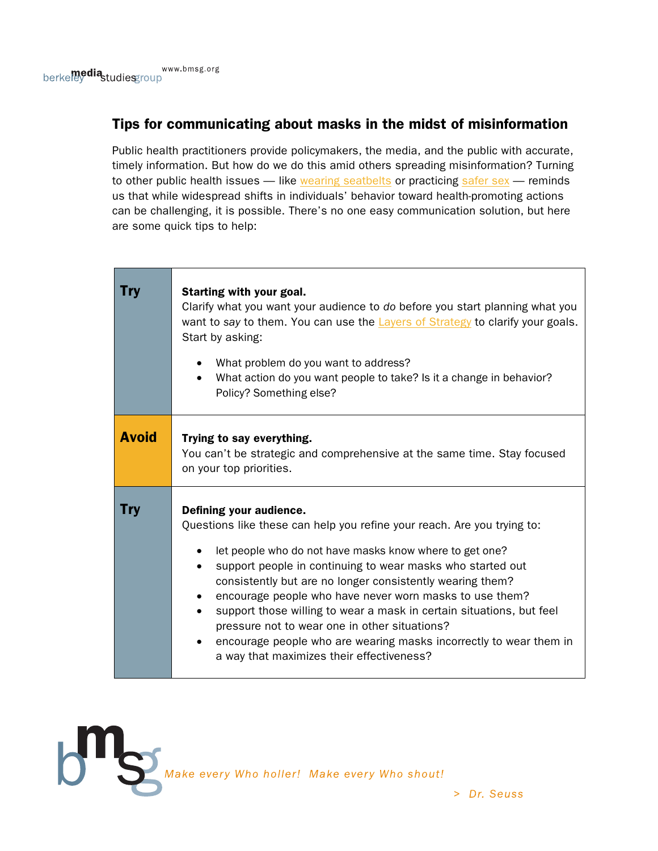# Tips for communicating about masks in the midst of misinformation

Public health practitioners provide policymakers, the media, and the public with accurate, timely information. But how do we do this amid others spreading misinformation? Turning to other public health issues  $-$  like [wearing seatbelts](https://www.bloomberg.com/news/articles/2020-08-17/what-works-to-persuade-people-to-wear-masks?srnd=citylab) or practicing [safer sex](https://www.theatlantic.com/ideas/archive/2020/06/dudes-who-wont-wear-masks/613375/)  $-$  reminds us that while widespread shifts in individuals' behavior toward health-promoting actions can be challenging, it is possible. There's no one easy communication solution, but here are some quick tips to help:

| Trv          | Starting with your goal.<br>Clarify what you want your audience to do before you start planning what you<br>want to say to them. You can use the Layers of Strategy to clarify your goals.<br>Start by asking:<br>What problem do you want to address?<br>What action do you want people to take? Is it a change in behavior?<br>Policy? Something else?                                                                                                                                                                                                                                        |
|--------------|-------------------------------------------------------------------------------------------------------------------------------------------------------------------------------------------------------------------------------------------------------------------------------------------------------------------------------------------------------------------------------------------------------------------------------------------------------------------------------------------------------------------------------------------------------------------------------------------------|
| <b>Avoid</b> | Trying to say everything.<br>You can't be strategic and comprehensive at the same time. Stay focused<br>on your top priorities.                                                                                                                                                                                                                                                                                                                                                                                                                                                                 |
| Try          | Defining your audience.<br>Questions like these can help you refine your reach. Are you trying to:<br>let people who do not have masks know where to get one?<br>support people in continuing to wear masks who started out<br>consistently but are no longer consistently wearing them?<br>encourage people who have never worn masks to use them?<br>support those willing to wear a mask in certain situations, but feel<br>pressure not to wear one in other situations?<br>encourage people who are wearing masks incorrectly to wear them in<br>a way that maximizes their effectiveness? |

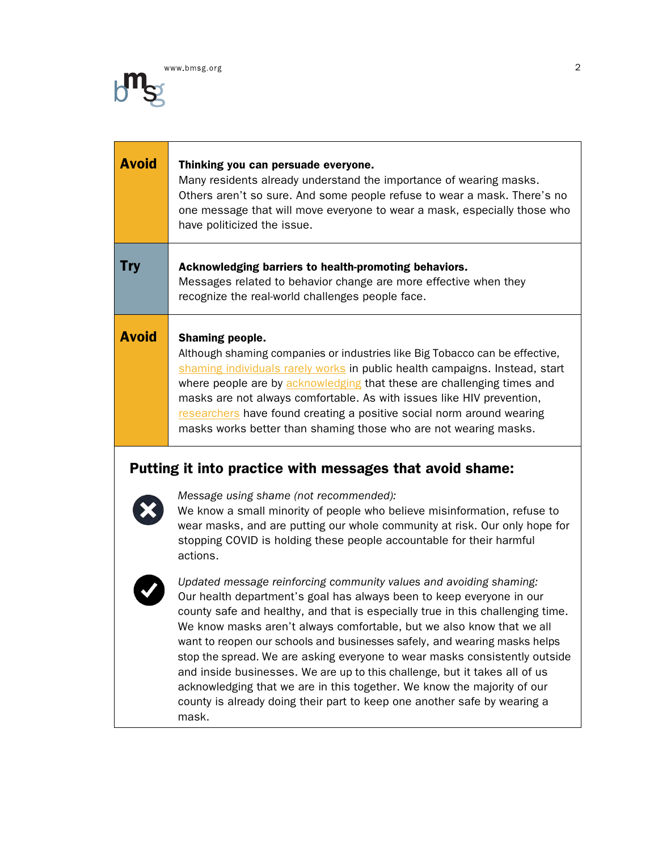

| <b>Avoid</b> | Thinking you can persuade everyone.<br>Many residents already understand the importance of wearing masks.<br>Others aren't so sure. And some people refuse to wear a mask. There's no<br>one message that will move everyone to wear a mask, especially those who<br>have politicized the issue.                                                                                                                                                                                     |
|--------------|--------------------------------------------------------------------------------------------------------------------------------------------------------------------------------------------------------------------------------------------------------------------------------------------------------------------------------------------------------------------------------------------------------------------------------------------------------------------------------------|
| Try          | Acknowledging barriers to health-promoting behaviors.<br>Messages related to behavior change are more effective when they<br>recognize the real-world challenges people face.                                                                                                                                                                                                                                                                                                        |
| <b>Avoid</b> | <b>Shaming people.</b><br>Although shaming companies or industries like Big Tobacco can be effective,<br>shaming individuals rarely works in public health campaigns. Instead, start<br>where people are by acknowledging that these are challenging times and<br>masks are not always comfortable. As with issues like HIV prevention,<br>researchers have found creating a positive social norm around wearing<br>masks works better than shaming those who are not wearing masks. |

# Putting it into practice with messages that avoid shame:



*Message using shame (not recommended):*

We know a small minority of people who believe misinformation, refuse to wear masks, and are putting our whole community at risk. Our only hope for stopping COVID is holding these people accountable for their harmful actions.



*Updated message reinforcing community values and avoiding shaming:* Our health department's goal has always been to keep everyone in our county safe and healthy, and that is especially true in this challenging time. We know masks aren't always comfortable, but we also know that we all want to reopen our schools and businesses safely, and wearing masks helps stop the spread. We are asking everyone to wear masks consistently outside and inside businesses. We are up to this challenge, but it takes all of us acknowledging that we are in this together. We know the majority of our county is already doing their part to keep one another safe by wearing a mask.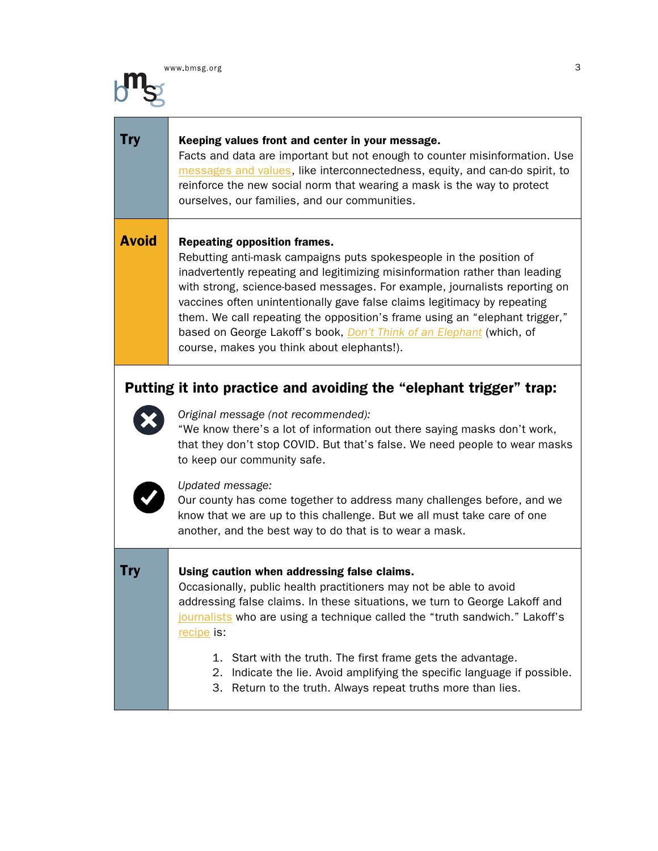### **Try** Keeping values front and center in your message.

Facts and data are important but not enough to counter misinformation. Use [messages and values](http://www.bmsg.org/resources/publications/worksheet-developing-strategic-messages-pdf/), like interconnectedness, equity, and can-do spirit, to reinforce the new social norm that wearing a mask is the way to protect ourselves, our families, and our communities.

### **Avoid** Repeating opposition frames.

Rebutting anti-mask campaigns puts spokespeople in the position of inadvertently repeating and legitimizing misinformation rather than leading with strong, science-based messages. For example, journalists reporting on vaccines often unintentionally gave false claims legitimacy by repeating them. We call repeating the opposition's frame using an "elephant trigger," based on George Lakoff's book, *[Don't Think of an Elephant](https://georgelakoff.com/2014/08/18/new-book-the-all-new-dont-think-of-an-elephant-know-your-values-and-frame-the-debate/)* (which, of course, makes you think about elephants!).

# Putting it into practice and avoiding the "elephant trigger" trap:



### *Original message (not recommended):*

"We know there's a lot of information out there saying masks don't work, that they don't stop COVID. But that's false. We need people to wear masks to keep our community safe.



### *Updated message:*

Our county has come together to address many challenges before, and we know that we are up to this challenge. But we all must take care of one another, and the best way to do that is to wear a mask.

### **Try Video Limbs** Caution when addressing false claims.

Occasionally, public health practitioners may not be able to avoid addressing false claims. In these situations, we turn to George Lakoff and [journalists](https://www.scu.edu/ethics/all-about-ethics/breaking-news-needs-nutrition-from-the-truth-sandwich/) who are using a technique called the "truth sandwich." Lakoff's [recipe](https://twitter.com/georgelakoff/status/1068891959882846208?lang=en) is:

- 1. Start with the truth. The first frame gets the advantage.
- 2. Indicate the lie. Avoid amplifying the specific language if possible.
- 3. Return to the truth. Always repeat truths more than lies.